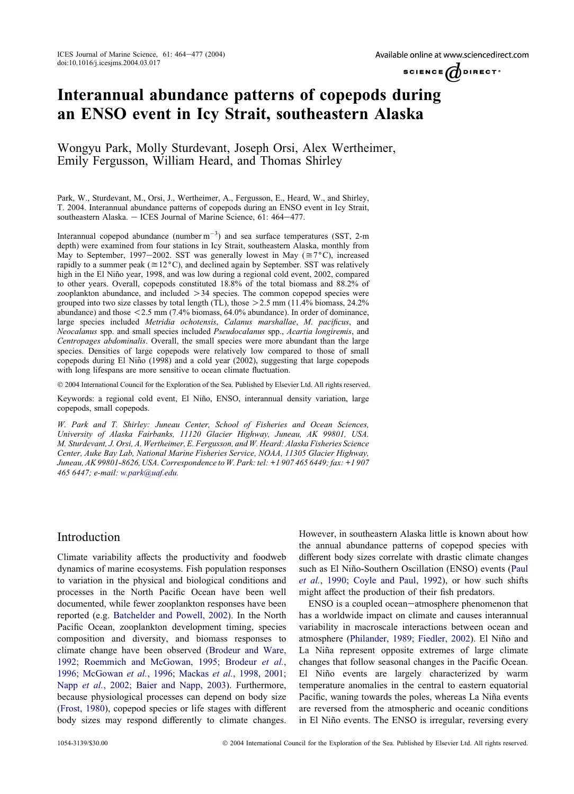SCIENCE  $\bigcirc$  DIRECT<sup>\*</sup>

# Interannual abundance patterns of copepods during an ENSO event in Icy Strait, southeastern Alaska

Wongyu Park, Molly Sturdevant, Joseph Orsi, Alex Wertheimer, Emily Fergusson, William Heard, and Thomas Shirley

Park, W., Sturdevant, M., Orsi, J., Wertheimer, A., Fergusson, E., Heard, W., and Shirley, T. 2004. Interannual abundance patterns of copepods during an ENSO event in Icy Strait, southeastern Alaska. - ICES Journal of Marine Science, 61: 464-477.

Interannual copepod abundance  $(\text{number m}^{-3})$  and sea surface temperatures (SST, 2-m depth) were examined from four stations in Icy Strait, southeastern Alaska, monthly from May to September, 1997–2002. SST was generally lowest in May ( $\approx 7^{\circ}$ C), increased rapidly to a summer peak ( $\approx 12^{\circ}$ C), and declined again by September. SST was relatively high in the El Niño year, 1998, and was low during a regional cold event, 2002, compared to other years. Overall, copepods constituted 18.8% of the total biomass and 88.2% of zooplankton abundance, and included  $>34$  species. The common copepod species were grouped into two size classes by total length (TL), those  $>$  2.5 mm (11.4% biomass, 24.2% abundance) and those  $\leq 2.5$  mm (7.4% biomass, 64.0% abundance). In order of dominance, large species included Metridia ochotensis, Calanus marshallae, M. pacificus, and Neocalanus spp. and small species included Pseudocalanus spp., Acartia longiremis, and Centropages abdominalis. Overall, the small species were more abundant than the large species. Densities of large copepods were relatively low compared to those of small copepods during El Niño  $(1998)$  and a cold year  $(2002)$ , suggesting that large copepods with long lifespans are more sensitive to ocean climate fluctuation.

2004 International Council for the Exploration of the Sea. Published by Elsevier Ltd. All rights reserved.

Keywords: a regional cold event, El Niño, ENSO, interannual density variation, large copepods, small copepods.

W. Park and T. Shirley: Juneau Center, School of Fisheries and Ocean Sciences, University of Alaska Fairbanks, 11120 Glacier Highway, Juneau, AK 99801, USA. M. Sturdevant, J. Orsi, A. Wertheimer, E. Fergusson, and W. Heard: Alaska Fisheries Science Center, Auke Bay Lab, National Marine Fisheries Service, NOAA, 11305 Glacier Highway, Juneau, AK 99801-8626, USA. Correspondence to W. Park: tel: +1 907 465 6449; fax: +1 907 465 6447; e-mail: [w.park@uaf.edu.](mailto:w.park@uaf.edu)

## Introduction

Climate variability affects the productivity and foodweb dynamics of marine ecosystems. Fish population responses to variation in the physical and biological conditions and processes in the North Pacific Ocean have been well documented, while fewer zooplankton responses have been reported (e.g. [Batchelder and Powell, 2002\)](#page-10-0). In the North Pacific Ocean, zooplankton development timing, species composition and diversity, and biomass responses to climate change have been observed [\(Brodeur and Ware,](#page-10-0) [1992; Roemmich and McGowan, 1995; Brodeur](#page-10-0) et al., [1996; McGowan](#page-10-0) et al., 1996; Mackas et al., 1998, 2001; Napp et al.[, 2002; Baier and Napp, 2003](#page-10-0)). Furthermore, because physiological processes can depend on body size ([Frost, 1980](#page-11-0)), copepod species or life stages with different body sizes may respond differently to climate changes.

However, in southeastern Alaska little is known about how the annual abundance patterns of copepod species with different body sizes correlate with drastic climate changes such as El Niño-Southern Oscillation (ENSO) events [\(Paul](#page-10-0) et al.[, 1990; Coyle and Paul, 1992](#page-10-0)), or how such shifts might affect the production of their fish predators.

ENSO is a coupled ocean-atmosphere phenomenon that has a worldwide impact on climate and causes interannual variability in macroscale interactions between ocean and atmosphere ([Philander, 1989; Fiedler, 2002\)](#page-12-0). El Niño and La Niña represent opposite extremes of large climate changes that follow seasonal changes in the Pacific Ocean. El Niño events are largely characterized by warm temperature anomalies in the central to eastern equatorial Pacific, waning towards the poles, whereas La Niña events are reversed from the atmospheric and oceanic conditions in El Niño events. The ENSO is irregular, reversing every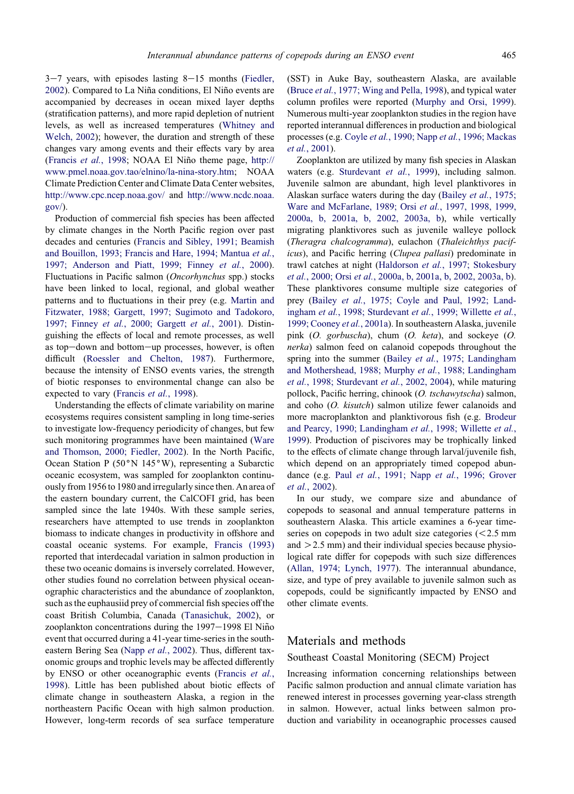$3-7$  years, with episodes lasting  $8-15$  months ([Fiedler,](#page-10-0) [2002](#page-10-0)). Compared to La Niña conditions, El Niño events are accompanied by decreases in ocean mixed layer depths (stratification patterns), and more rapid depletion of nutrient levels, as well as increased temperatures ([Whitney and](#page-12-0) [Welch, 2002](#page-12-0)); however, the duration and strength of these changes vary among events and their effects vary by area ([Francis](#page-11-0) et al., 1998; NOAA El Niño theme page, [http://](http://www.pmel.noaa.gov.tao/elnino/la-nina-story.htm) [www.pmel.noaa.gov.tao/elnino/la-nina-story.htm](http://www.pmel.noaa.gov.tao/elnino/la-nina-story.htm); NOAA Climate Prediction Center and Climate Data Center websites, <http://www.cpc.ncep.noaa.gov/> and [http://www.ncdc.noaa.](http://www.ncdc.noaa.gov) [gov/\)](http://www.ncdc.noaa.gov).

Production of commercial fish species has been affected by climate changes in the North Pacific region over past decades and centuries ([Francis and Sibley, 1991; Beamish](#page-10-0) [and Bouillon, 1993; Francis and Hare, 1994; Mantua](#page-10-0) et al., [1997; Anderson and Piatt, 1999; Finney](#page-10-0) et al., 2000). Fluctuations in Pacific salmon (Oncorhynchus spp.) stocks have been linked to local, regional, and global weather patterns and to fluctuations in their prey (e.g. [Martin and](#page-11-0) [Fitzwater, 1988; Gargett, 1997; Sugimoto and Tadokoro,](#page-11-0) 1997; Finney et al.[, 2000; Gargett](#page-11-0) et al., 2001). Distinguishing the effects of local and remote processes, as well as top-down and bottom-up processes, however, is often difficult [\(Roessler and Chelton, 1987](#page-12-0)). Furthermore, because the intensity of ENSO events varies, the strength of biotic responses to environmental change can also be expected to vary [\(Francis](#page-11-0) et al., 1998).

Understanding the effects of climate variability on marine ecosystems requires consistent sampling in long time-series to investigate low-frequency periodicity of changes, but few such monitoring programmes have been maintained [\(Ware](#page-12-0) [and Thomson, 2000; Fiedler, 2002](#page-12-0)). In the North Pacific, Ocean Station P ( $50^{\circ}$ N 145°W), representing a Subarctic oceanic ecosystem, was sampled for zooplankton continuously from 1956 to 1980 and irregularly since then. An area of the eastern boundary current, the CalCOFI grid, has been sampled since the late 1940s. With these sample series, researchers have attempted to use trends in zooplankton biomass to indicate changes in productivity in offshore and coastal oceanic systems. For example, [Francis \(1993\)](#page-11-0) reported that interdecadal variation in salmon production in these two oceanic domains is inversely correlated. However, other studies found no correlation between physical oceanographic characteristics and the abundance of zooplankton, such as the euphausiid prey of commercial fish species off the coast British Columbia, Canada [\(Tanasichuk, 2002\)](#page-12-0), or zooplankton concentrations during the 1997-1998 El Niño event that occurred during a 41-year time-series in the south-eastern Bering Sea (Napp et al.[, 2002](#page-11-0)). Thus, different taxonomic groups and trophic levels may be affected differently by ENSO or other oceanographic events ([Francis](#page-11-0) et al., [1998](#page-11-0)). Little has been published about biotic effects of climate change in southeastern Alaska, a region in the northeastern Pacific Ocean with high salmon production. However, long-term records of sea surface temperature

(SST) in Auke Bay, southeastern Alaska, are available (Bruce et al.[, 1977; Wing and Pella, 1998\)](#page-10-0), and typical water column profiles were reported [\(Murphy and Orsi, 1999\)](#page-11-0). Numerous multi-year zooplankton studies in the region have reported interannual differences in production and biological processes (e.g. Coyle et al., 1990; Napp et al.[, 1996; Mackas](#page-10-0) et al.[, 2001](#page-10-0)).

Zooplankton are utilized by many fish species in Alaskan waters (e.g. [Sturdevant](#page-12-0) et al., 1999), including salmon. Juvenile salmon are abundant, high level planktivores in Alaskan surface waters during the day (Bailey et al.[, 1975;](#page-10-0) [Ware and McFarlane, 1989; Orsi](#page-10-0) et al., 1997, 1998, 1999, [2000a, b, 2001a, b, 2002, 2003a, b](#page-10-0)), while vertically migrating planktivores such as juvenile walleye pollock (Theragra chalcogramma), eulachon (Thaleichthys pacificus), and Pacific herring (Clupea pallasi) predominate in trawl catches at night (Haldorson et al.[, 1997; Stokesbury](#page-11-0) et al., 2000; Orsi et al.[, 2000a, b, 2001a, b, 2002, 2003a, b\)](#page-11-0). These planktivores consume multiple size categories of prey (Bailey et al.[, 1975; Coyle and Paul, 1992; Land-](#page-10-0)ingham et al.[, 1998; Sturdevant](#page-10-0) et al., 1999; Willette et al., [1999; Cooney](#page-10-0) et al., 2001a). In southeastern Alaska, juvenile pink (O. gorbuscha), chum (O. keta), and sockeye (O. nerka) salmon feed on calanoid copepods throughout the spring into the summer (Bailey et al.[, 1975; Landingham](#page-10-0) [and Mothershead, 1988; Murphy](#page-10-0) et al., 1988; Landingham et al.[, 1998; Sturdevant](#page-10-0) et al., 2002, 2004), while maturing pollock, Pacific herring, chinook (O. tschawytscha) salmon, and coho (O. kisutch) salmon utilize fewer calanoids and more macroplankton and planktivorous fish (e.g. [Brodeur](#page-10-0) [and Pearcy, 1990; Landingham](#page-10-0) et al., 1998; Willette et al., [1999\)](#page-10-0). Production of piscivores may be trophically linked to the effects of climate change through larval/juvenile fish, which depend on an appropriately timed copepod abun-dance (e.g. Paul et al., 1991; Napp et al.[, 1996; Grover](#page-12-0) et al.[, 2002\)](#page-12-0).

In our study, we compare size and abundance of copepods to seasonal and annual temperature patterns in southeastern Alaska. This article examines a 6-year timeseries on copepods in two adult size categories  $\approx$  2.5 mm and  $>$  2.5 mm) and their individual species because physiological rate differ for copepods with such size differences ([Allan, 1974; Lynch, 1977](#page-10-0)). The interannual abundance, size, and type of prey available to juvenile salmon such as copepods, could be significantly impacted by ENSO and other climate events.

## Materials and methods

#### Southeast Coastal Monitoring (SECM) Project

Increasing information concerning relationships between Pacific salmon production and annual climate variation has renewed interest in processes governing year-class strength in salmon. However, actual links between salmon production and variability in oceanographic processes caused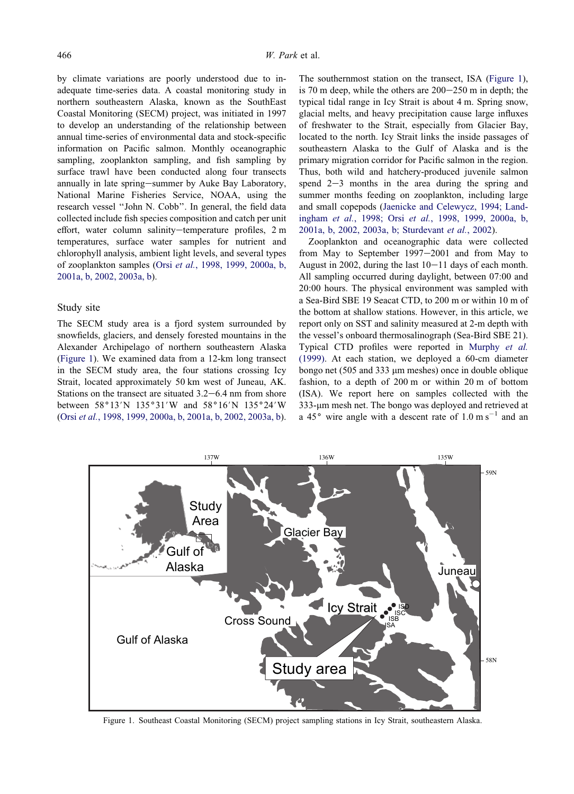by climate variations are poorly understood due to inadequate time-series data. A coastal monitoring study in northern southeastern Alaska, known as the SouthEast Coastal Monitoring (SECM) project, was initiated in 1997 to develop an understanding of the relationship between annual time-series of environmental data and stock-specific information on Pacific salmon. Monthly oceanographic sampling, zooplankton sampling, and fish sampling by surface trawl have been conducted along four transects annually in late spring-summer by Auke Bay Laboratory, National Marine Fisheries Service, NOAA, using the research vessel ''John N. Cobb''. In general, the field data collected include fish species composition and catch per unit effort, water column salinity-temperature profiles, 2 m temperatures, surface water samples for nutrient and chlorophyll analysis, ambient light levels, and several types of zooplankton samples (Orsi et al.[, 1998, 1999, 2000a, b,](#page-12-0) [2001a, b, 2002, 2003a, b](#page-12-0)).

#### Study site

The SECM study area is a fjord system surrounded by snowfields, glaciers, and densely forested mountains in the Alexander Archipelago of northern southeastern Alaska (Figure 1). We examined data from a 12-km long transect in the SECM study area, the four stations crossing Icy Strait, located approximately 50 km west of Juneau, AK. Stations on the transect are situated  $3.2-6.4$  nm from shore between 58°13'N 135°31'W and 58°16'N 135°24'W (Orsi et al.[, 1998, 1999, 2000a, b, 2001a, b, 2002, 2003a, b\)](#page-12-0). The southernmost station on the transect, ISA (Figure 1), is 70 m deep, while the others are  $200-250$  m in depth; the typical tidal range in Icy Strait is about 4 m. Spring snow, glacial melts, and heavy precipitation cause large influxes of freshwater to the Strait, especially from Glacier Bay, located to the north. Icy Strait links the inside passages of southeastern Alaska to the Gulf of Alaska and is the primary migration corridor for Pacific salmon in the region. Thus, both wild and hatchery-produced juvenile salmon spend  $2-3$  months in the area during the spring and summer months feeding on zooplankton, including large and small copepods ([Jaenicke and Celewycz, 1994; Land](#page-11-0)ingham et al., 1998; Orsi et al.[, 1998, 1999, 2000a, b,](#page-11-0) [2001a, b, 2002, 2003a, b; Sturdevant](#page-11-0) et al., 2002).

Zooplankton and oceanographic data were collected from May to September  $1997-2001$  and from May to August in 2002, during the last  $10-11$  days of each month. All sampling occurred during daylight, between 07:00 and 20:00 hours. The physical environment was sampled with a Sea-Bird SBE 19 Seacat CTD, to 200 m or within 10 m of the bottom at shallow stations. However, in this article, we report only on SST and salinity measured at 2-m depth with the vessel's onboard thermosalinograph (Sea-Bird SBE 21). Typical CTD profiles were reported in [Murphy](#page-11-0) et al. [\(1999\).](#page-11-0) At each station, we deployed a 60-cm diameter bongo net  $(505 \text{ and } 333 \text{ µm} \text{ meshes})$  once in double oblique fashion, to a depth of 200 m or within 20 m of bottom (ISA). We report here on samples collected with the 333-um mesh net. The bongo was deployed and retrieved at a 45 $\degree$  wire angle with a descent rate of 1.0 m s<sup>-1</sup> and an



Figure 1. Southeast Coastal Monitoring (SECM) project sampling stations in Icy Strait, southeastern Alaska.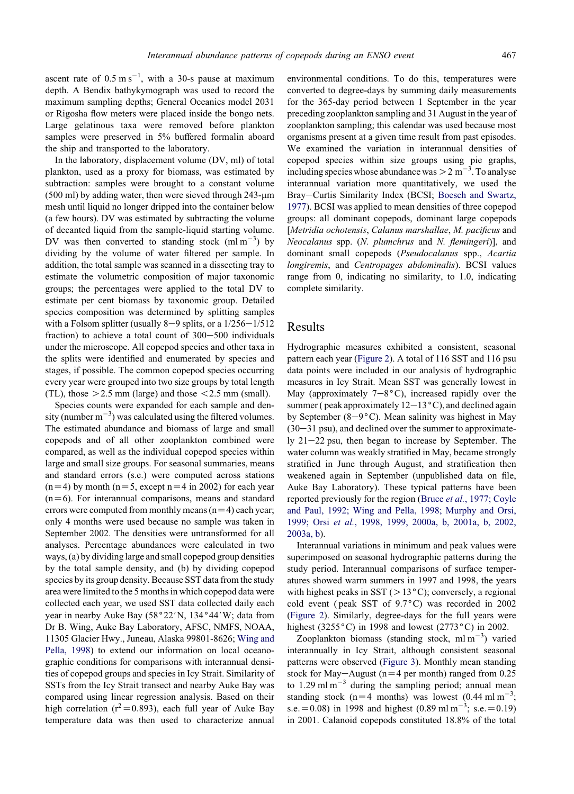ascent rate of  $0.5 \text{ m s}^{-1}$ , with a 30-s pause at maximum depth. A Bendix bathykymograph was used to record the maximum sampling depths; General Oceanics model 2031 or Rigosha flow meters were placed inside the bongo nets. Large gelatinous taxa were removed before plankton samples were preserved in 5% buffered formalin aboard the ship and transported to the laboratory.

In the laboratory, displacement volume (DV, ml) of total plankton, used as a proxy for biomass, was estimated by subtraction: samples were brought to a constant volume  $(500 \text{ ml})$  by adding water, then were sieved through 243- $\mu$ m mesh until liquid no longer dripped into the container below (a few hours). DV was estimated by subtracting the volume of decanted liquid from the sample-liquid starting volume. DV was then converted to standing stock  $(m1 m<sup>-3</sup>)$  by dividing by the volume of water filtered per sample. In addition, the total sample was scanned in a dissecting tray to estimate the volumetric composition of major taxonomic groups; the percentages were applied to the total DV to estimate per cent biomass by taxonomic group. Detailed species composition was determined by splitting samples with a Folsom splitter (usually  $8-9$  splits, or a  $1/256-1/512$ fraction) to achieve a total count of  $300-500$  individuals under the microscope. All copepod species and other taxa in the splits were identified and enumerated by species and stages, if possible. The common copepod species occurring every year were grouped into two size groups by total length (TL), those  $>2.5$  mm (large) and those  $< 2.5$  mm (small).

Species counts were expanded for each sample and density (number  $m^{-3}$ ) was calculated using the filtered volumes. The estimated abundance and biomass of large and small copepods and of all other zooplankton combined were compared, as well as the individual copepod species within large and small size groups. For seasonal summaries, means and standard errors (s.e.) were computed across stations  $(n=4)$  by month (n=5, except n=4 in 2002) for each year  $(n=6)$ . For interannual comparisons, means and standard errors were computed from monthly means  $(n=4)$  each year; only 4 months were used because no sample was taken in September 2002. The densities were untransformed for all analyses. Percentage abundances were calculated in two ways, (a) by dividing large and small copepod group densities by the total sample density, and (b) by dividing copepod species by its group density. Because SST data from the study area were limited to the 5 months in which copepod data were collected each year, we used SST data collected daily each year in nearby Auke Bay  $(58°22'N, 134°44'W;$  data from Dr B. Wing, Auke Bay Laboratory, AFSC, NMFS, NOAA, 11305 Glacier Hwy., Juneau, Alaska 99801-8626; [Wing and](#page-12-0) [Pella, 1998\)](#page-12-0) to extend our information on local oceanographic conditions for comparisons with interannual densities of copepod groups and species in Icy Strait. Similarity of SSTs from the Icy Strait transect and nearby Auke Bay was compared using linear regression analysis. Based on their high correlation ( $r^2$ =0.893), each full year of Auke Bay temperature data was then used to characterize annual environmental conditions. To do this, temperatures were converted to degree-days by summing daily measurements for the 365-day period between 1 September in the year preceding zooplankton sampling and 31 August in the year of zooplankton sampling; this calendar was used because most organisms present at a given time result from past episodes. We examined the variation in interannual densities of copepod species within size groups using pie graphs, including species whose abundance was  $>$  2 m<sup>-3</sup>. To analyse interannual variation more quantitatively, we used the Bray-Curtis Similarity Index (BCSI; [Boesch and Swartz,](#page-10-0) [1977\)](#page-10-0). BCSI was applied to mean densities of three copepod groups: all dominant copepods, dominant large copepods [Metridia ochotensis, Calanus marshallae, M. pacificus and Neocalanus spp. (N. plumchrus and N. flemingeri)], and dominant small copepods (Pseudocalanus spp., Acartia longiremis, and Centropages abdominalis). BCSI values range from 0, indicating no similarity, to 1.0, indicating complete similarity.

#### Results

Hydrographic measures exhibited a consistent, seasonal pattern each year ([Figure 2\)](#page-4-0). A total of 116 SST and 116 psu data points were included in our analysis of hydrographic measures in Icy Strait. Mean SST was generally lowest in May (approximately  $7-8\degree C$ ), increased rapidly over the summer ( peak approximately  $12-13\degree C$ ), and declined again by September (8-9 $^{\circ}$ C). Mean salinity was highest in May  $(30-31 \text{ psu})$ , and declined over the summer to approximately  $21-22$  psu, then began to increase by September. The water column was weakly stratified in May, became strongly stratified in June through August, and stratification then weakened again in September (unpublished data on file, Auke Bay Laboratory). These typical patterns have been reported previously for the region (Bruce et al.[, 1977; Coyle](#page-10-0) [and Paul, 1992; Wing and Pella, 1998; Murphy and Orsi,](#page-10-0) 1999; Orsi et al.[, 1998, 1999, 2000a, b, 2001a, b, 2002,](#page-10-0) [2003a, b\)](#page-10-0).

Interannual variations in minimum and peak values were superimposed on seasonal hydrographic patterns during the study period. Interannual comparisons of surface temperatures showed warm summers in 1997 and 1998, the years with highest peaks in SST ( $>13^{\circ}$ C); conversely, a regional cold event (peak SST of  $9.7^{\circ}$ C) was recorded in 2002 ([Figure 2](#page-4-0)). Similarly, degree-days for the full years were highest (3255 $\degree$ C) in 1998 and lowest (2773 $\degree$ C) in 2002.

Zooplankton biomass (standing stock, ml m $^{-3}$ ) varied interannually in Icy Strait, although consistent seasonal patterns were observed [\(Figure 3](#page-4-0)). Monthly mean standing stock for May-August ( $n=4$  per month) ranged from 0.25 to 1.29 ml m<sup>-3</sup> during the sampling period; annual mean standing stock  $(n=4 \text{ months})$  was lowest  $(0.44 \text{ ml m}^{-3})$ ; s.e. = 0.08) in 1998 and highest (0.89 ml m<sup>-3</sup>; s.e. = 0.19) in 2001. Calanoid copepods constituted 18.8% of the total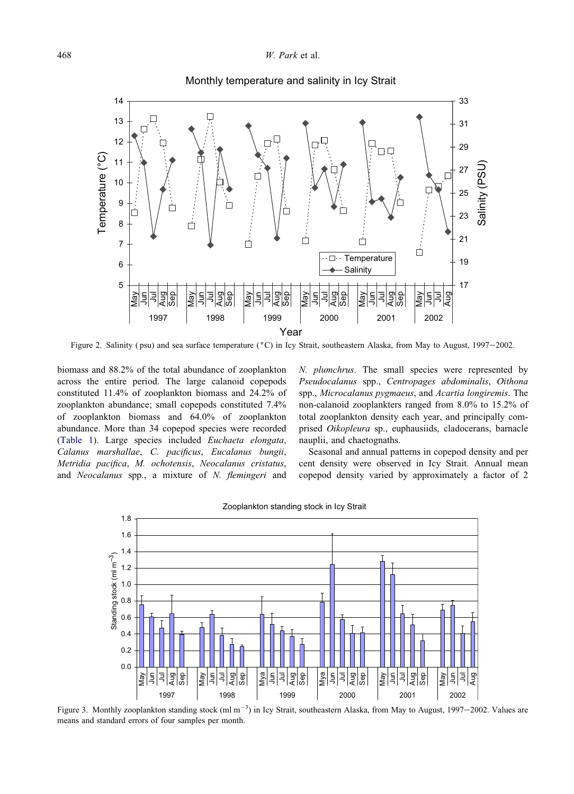<span id="page-4-0"></span>

Monthly temperature and salinity in Icy Strait

Figure 2. Salinity (psu) and sea surface temperature (°C) in Icy Strait, southeastern Alaska, from May to August, 1997-2002.

biomass and 88.2% of the total abundance of zooplankton across the entire period. The large calanoid copepods constituted 11.4% of zooplankton biomass and 24.2% of zooplankton abundance; small copepods constituted 7.4% of zooplankton biomass and 64.0% of zooplankton abundance. More than 34 copepod species were recorded ([Table 1\)](#page-5-0). Large species included Euchaeta elongata, Calanus marshallae, C. pacificus, Eucalanus bungii, Metridia pacifica, M. ochotensis, Neocalanus cristatus, and Neocalanus spp., a mixture of N. flemingeri and N. plumchrus. The small species were represented by Pseudocalanus spp., Centropages abdominalis, Oithona spp., Microcalanus pygmaeus, and Acartia longiremis. The non-calanoid zooplankters ranged from 8.0% to 15.2% of total zooplankton density each year, and principally comprised Oikopleura sp., euphausiids, cladocerans, barnacle nauplii, and chaetognaths.

Seasonal and annual patterns in copepod density and per cent density were observed in Icy Strait. Annual mean copepod density varied by approximately a factor of 2



Zooplankton standing stock in Icy Strait

Figure 3. Monthly zooplankton standing stock  $(ml m^{-3})$  in Icy Strait, southeastern Alaska, from May to August, 1997–2002. Values are means and standard errors of four samples per month.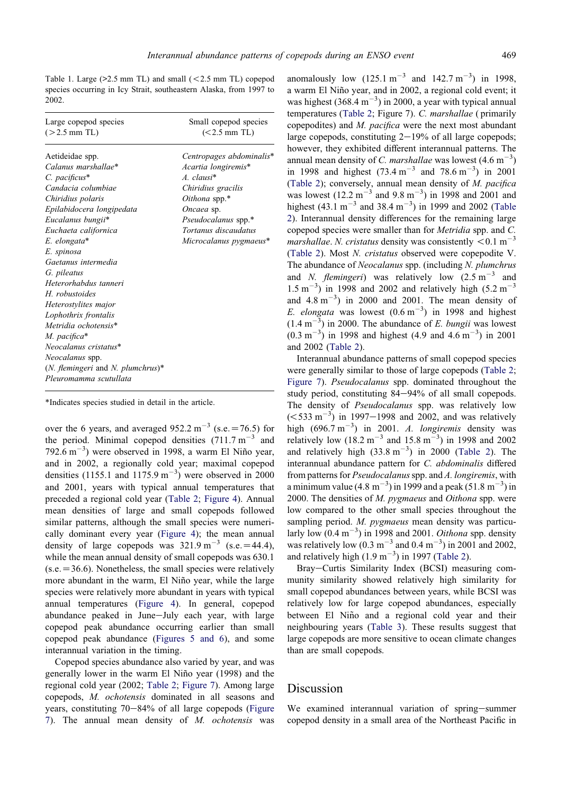<span id="page-5-0"></span>Table 1. Large  $(>2.5$  mm TL) and small  $(<2.5$  mm TL) copepod species occurring in Icy Strait, southeastern Alaska, from 1997 to 2002.

| Large copepod species                                                                                                                                                                                                             | Small copepod species                                                                                |
|-----------------------------------------------------------------------------------------------------------------------------------------------------------------------------------------------------------------------------------|------------------------------------------------------------------------------------------------------|
| $(>2.5$ mm TL)                                                                                                                                                                                                                    | $(< 2.5$ mm TL)                                                                                      |
| Aetideidae spp.                                                                                                                                                                                                                   | Centropages abdominalis*                                                                             |
| Calanus marshallae*                                                                                                                                                                                                               | Acartia longiremis*                                                                                  |
| $C.$ pacificus $*$                                                                                                                                                                                                                | $A. clausi*$                                                                                         |
| Candacia columbiae                                                                                                                                                                                                                | Chiridius gracilis                                                                                   |
| Chiridius polaris<br>Epilabidocera longipedata<br>Eucalanus bungii*<br>Euchaeta californica<br>E. elongata*<br>E. spinosa<br>Gaetanus intermedia<br>G. pileatus<br>Heterorhabdus tanneri<br>H robustoides<br>Heterostylites major | Oithona spp.*<br>Oncaea sp.<br>Pseudocalanus spp.*<br>Tortanus discaudatus<br>Microcalanus pygmaeus* |
| Lophothrix frontalis<br>Metridia ochotensis*<br>M. pacifica*<br>Neocalanus cristatus*<br>Neocalanus spp.<br>$(N.$ flemingeri and N. plumchrus)*<br>Pleuromamma scutullata                                                         |                                                                                                      |

\*Indicates species studied in detail in the article.

over the 6 years, and averaged 952.2 m<sup>-3</sup> (s.e. = 76.5) for the period. Minimal copepod densities  $(711.7 \text{ m}^{-3}$  and  $792.6 \text{ m}^{-3}$ ) were observed in 1998, a warm El Niño year, and in 2002, a regionally cold year; maximal copepod densities (1155.1 and 1175.9 m<sup>-3</sup>) were observed in 2000 and 2001, years with typical annual temperatures that preceded a regional cold year [\(Table 2](#page-6-0); [Figure 4\)](#page-7-0). Annual mean densities of large and small copepods followed similar patterns, although the small species were numerically dominant every year [\(Figure 4\)](#page-7-0); the mean annual density of large copepods was  $321.9 \text{ m}^{-3}$  (s.e. = 44.4), while the mean annual density of small copepods was 630.1  $(s.e. = 36.6)$ . Nonetheless, the small species were relatively more abundant in the warm, El Niño year, while the large species were relatively more abundant in years with typical annual temperatures ([Figure 4\)](#page-7-0). In general, copepod abundance peaked in June-July each year, with large copepod peak abundance occurring earlier than small copepod peak abundance ([Figures 5 and 6\)](#page-7-0), and some interannual variation in the timing.

Copepod species abundance also varied by year, and was generally lower in the warm El Niño year (1998) and the regional cold year (2002; [Table 2;](#page-6-0) [Figure 7\)](#page-9-0). Among large copepods, M. ochotensis dominated in all seasons and years, constituting  $70-84%$  of all large copepods [\(Figure](#page-9-0) [7\)](#page-9-0). The annual mean density of M. ochotensis was

anomalously low  $(125.1 \text{ m}^{-3} \text{ and } 142.7 \text{ m}^{-3})$  in 1998, a warm El Niño year, and in 2002, a regional cold event; it was highest  $(368.4 \text{ m}^{-3})$  in 2000, a year with typical annual temperatures ([Table 2](#page-6-0); Figure 7). C. marshallae ( primarily copepodites) and M. pacifica were the next most abundant large copepods, constituting  $2-19%$  of all large copepods; however, they exhibited different interannual patterns. The annual mean density of *C. marshallae* was lowest  $(4.6 \text{ m}^{-3})$ in 1998 and highest  $(73.4 \text{ m}^{-3} \text{ and } 78.6 \text{ m}^{-3})$  in 2001 ([Table 2\)](#page-6-0); conversely, annual mean density of M. pacifica was lowest  $(12.2 \text{ m}^{-3} \text{ and } 9.8 \text{ m}^{-3})$  in 1998 and 2001 and highest  $(43.1 \text{ m}^{-3} \text{ and } 38.4 \text{ m}^{-3})$  in 1999 and 2002 [\(Table](#page-6-0) [2](#page-6-0)). Interannual density differences for the remaining large copepod species were smaller than for Metridia spp. and C. marshallae. N. cristatus density was consistently  $\leq 0.1$  m<sup>-3</sup> ([Table 2\)](#page-6-0). Most N. cristatus observed were copepodite V. The abundance of Neocalanus spp. (including N. plumchrus and *N. flemingeri*) was relatively low  $(2.5 \text{ m}^{-3}$  and  $1.5 \text{ m}^{-3}$ ) in 1998 and 2002 and relatively high (5.2 m<sup>-3</sup>) and  $4.8 \text{ m}^{-3}$ ) in 2000 and 2001. The mean density of E. elongata was lowest  $(0.6 \text{ m}^{-3})$  in 1998 and highest  $(1.4 \text{ m}^{-3})$  in 2000. The abundance of *E. bungii* was lowest  $(0.3 \text{ m}^{-3})$  in 1998 and highest (4.9 and 4.6 m<sup>-3</sup>) in 2001 and 2002 ([Table 2\)](#page-6-0).

Interannual abundance patterns of small copepod species were generally similar to those of large copepods ([Table 2](#page-6-0); [Figure 7\)](#page-9-0). Pseudocalanus spp. dominated throughout the study period, constituting 84-94% of all small copepods. The density of Pseudocalanus spp. was relatively low  $(<533 \text{ m}^{-3})$  in 1997–1998 and 2002, and was relatively high  $(696.7 \text{ m}^{-3})$  in 2001. A. longiremis density was relatively low  $(18.2 \text{ m}^{-3} \text{ and } 15.8 \text{ m}^{-3})$  in 1998 and 2002 and relatively high  $(33.8 \text{ m}^{-3})$  in 2000 [\(Table 2\)](#page-6-0). The interannual abundance pattern for C. abdominalis differed from patterns for *Pseudocalanus* spp. and A. longiremis, with a minimum value  $(4.8 \text{ m}^{-3})$  in 1999 and a peak  $(51.8 \text{ m}^{-3})$  in 2000. The densities of  $M$ . *pygmaeus* and *Oithona* spp. were low compared to the other small species throughout the sampling period. M. pygmaeus mean density was particularly low  $(0.4 \text{ m}^{-3})$  in 1998 and 2001. Oithona spp. density was relatively low (0.3 m<sup>-3</sup> and 0.4 m<sup>-3</sup>) in 2001 and 2002, and relatively high  $(1.9 \text{ m}^{-3})$  in 1997 [\(Table 2\)](#page-6-0).

Bray-Curtis Similarity Index (BCSI) measuring community similarity showed relatively high similarity for small copepod abundances between years, while BCSI was relatively low for large copepod abundances, especially between El Niño and a regional cold year and their neighbouring years [\(Table 3](#page-10-0)). These results suggest that large copepods are more sensitive to ocean climate changes than are small copepods.

### Discussion

We examined interannual variation of spring-summer copepod density in a small area of the Northeast Pacific in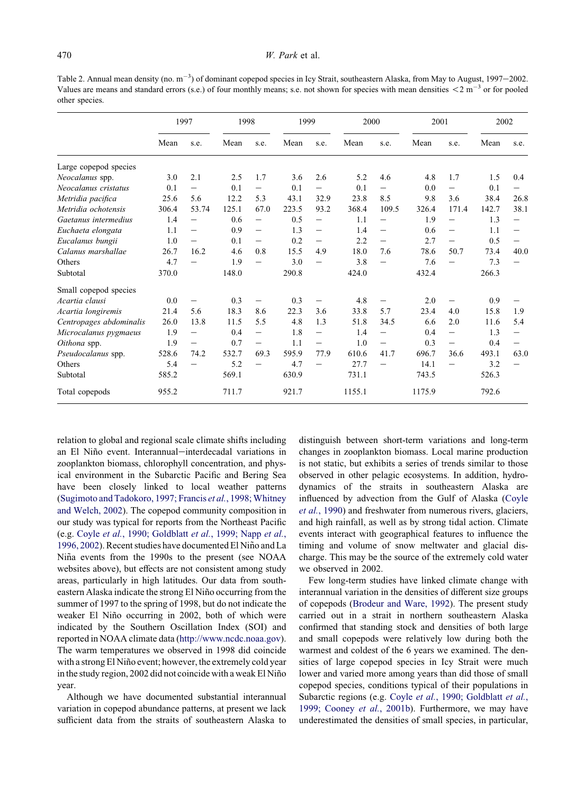<span id="page-6-0"></span>Table 2. Annual mean density (no.  $m^{-3}$ ) of dominant copepod species in Icy Strait, southeastern Alaska, from May to August, 1997–2002. Values are means and standard errors (s.e.) of four monthly means; s.e. not shown for species with mean densities  $\leq 2 \text{ m}^{-3}$  or for pooled other species.

|                         | 1997  |                          | 1998  |                                | 1999  |                   | 2000   |                          | 2001   |                   | 2002  |                          |
|-------------------------|-------|--------------------------|-------|--------------------------------|-------|-------------------|--------|--------------------------|--------|-------------------|-------|--------------------------|
|                         | Mean  | s.e.                     | Mean  | s.e.                           | Mean  | s.e.              | Mean   | s.e.                     | Mean   | s.e.              | Mean  | s.e.                     |
| Large copepod species   |       |                          |       |                                |       |                   |        |                          |        |                   |       |                          |
| Neocalanus spp.         | 3.0   | 2.1                      | 2.5   | 1.7                            | 3.6   | 2.6               | 5.2    | 4.6                      | 4.8    | 1.7               | 1.5   | 0.4                      |
| Neocalanus cristatus    | 0.1   | —                        | 0.1   | $\qquad \qquad$                | 0.1   |                   | 0.1    | $\qquad \qquad$          | 0.0    | $\qquad \qquad -$ | 0.1   | $\overline{\phantom{0}}$ |
| Metridia pacifica       | 25.6  | 5.6                      | 12.2  | 5.3                            | 43.1  | 32.9              | 23.8   | 8.5                      | 9.8    | 3.6               | 38.4  | 26.8                     |
| Metridia ochotensis     | 306.4 | 53.74                    | 125.1 | 67.0                           | 223.5 | 93.2              | 368.4  | 109.5                    | 326.4  | 171.4             | 142.7 | 38.1                     |
| Gaetanus intermedius    | 1.4   |                          | 0.6   | —                              | 0.5   |                   | 1.1    |                          | 1.9    |                   | 1.3   |                          |
| Euchaeta elongata       | 1.1   |                          | 0.9   | $\qquad \qquad$                | 1.3   | $\qquad \qquad -$ | 1.4    |                          | 0.6    |                   | 1.1   |                          |
| Eucalanus bungii        | 1.0   | $\overline{\phantom{0}}$ | 0.1   | $\overline{\phantom{0}}$       | 0.2   |                   | 2.2    | $\overline{\phantom{0}}$ | 2.7    | $\qquad \qquad -$ | 0.5   |                          |
| Calanus marshallae      | 26.7  | 16.2                     | 4.6   | 0.8                            | 15.5  | 4.9               | 18.0   | 7.6                      | 78.6   | 50.7              | 73.4  | 40.0                     |
| Others                  | 4.7   |                          | 1.9   | —                              | 3.0   | $\qquad \qquad -$ | 3.8    | $\overline{\phantom{0}}$ | 7.6    |                   | 7.3   |                          |
| Subtotal                | 370.0 |                          | 148.0 |                                | 290.8 |                   | 424.0  |                          | 432.4  |                   | 266.3 |                          |
| Small copepod species   |       |                          |       |                                |       |                   |        |                          |        |                   |       |                          |
| Acartia clausi          | 0.0   | $\qquad \qquad$          | 0.3   | $\overline{\phantom{0}}$       | 0.3   | $\qquad \qquad -$ | 4.8    | $\qquad \qquad -$        | 2.0    |                   | 0.9   |                          |
| Acartia longiremis      | 21.4  | 5.6                      | 18.3  | 8.6                            | 22.3  | 3.6               | 33.8   | 5.7                      | 23.4   | 4.0               | 15.8  | 1.9                      |
| Centropages abdominalis | 26.0  | 13.8                     | 11.5  | 5.5                            | 4.8   | 1.3               | 51.8   | 34.5                     | 6.6    | 2.0               | 11.6  | 5.4                      |
| Microcalanus pygmaeus   | 1.9   | $\overline{\phantom{0}}$ | 0.4   | $\qquad \qquad \longleftarrow$ | 1.8   | $\qquad \qquad -$ | 1.4    | $\qquad \qquad -$        | 0.4    |                   | 1.3   |                          |
| Oithona spp.            | 1.9   | $\qquad \qquad$          | 0.7   | $\qquad \qquad$                | 1.1   | $\qquad \qquad -$ | 1.0    | $\overline{\phantom{0}}$ | 0.3    |                   | 0.4   |                          |
| Pseudocalanus spp.      | 528.6 | 74.2                     | 532.7 | 69.3                           | 595.9 | 77.9              | 610.6  | 41.7                     | 696.7  | 36.6              | 493.1 | 63.0                     |
| Others                  | 5.4   |                          | 5.2   |                                | 4.7   |                   | 27.7   |                          | 14.1   |                   | 3.2   |                          |
| Subtotal                | 585.2 |                          | 569.1 |                                | 630.9 |                   | 731.1  |                          | 743.5  |                   | 526.3 |                          |
| Total copepods          | 955.2 |                          | 711.7 |                                | 921.7 |                   | 1155.1 |                          | 1175.9 |                   | 792.6 |                          |

relation to global and regional scale climate shifts including an El Niño event. Interannual-interdecadal variations in zooplankton biomass, chlorophyll concentration, and physical environment in the Subarctic Pacific and Bering Sea have been closely linked to local weather patterns ([Sugimoto and Tadokoro, 1997; Francis](#page-12-0) et al., 1998; Whitney [and Welch, 2002](#page-12-0)). The copepod community composition in our study was typical for reports from the Northeast Pacific (e.g. Coyle et al.[, 1990; Goldblatt](#page-10-0) et al., 1999; Napp et al., [1996, 2002](#page-10-0)). Recent studies have documented El Niño and La Niña events from the 1990s to the present (see NOAA websites above), but effects are not consistent among study areas, particularly in high latitudes. Our data from southeastern Alaska indicate the strong El Niño occurring from the summer of 1997 to the spring of 1998, but do not indicate the weaker El Niño occurring in 2002, both of which were indicated by the Southern Oscillation Index (SOI) and reported in NOAA climate data ([http://www.ncdc.noaa.gov\)](http://www.ncdc.noaa.gov). The warm temperatures we observed in 1998 did coincide with a strong El Niño event; however, the extremely cold year in the study region, 2002 did not coincide with a weak El Niño year.

Although we have documented substantial interannual variation in copepod abundance patterns, at present we lack sufficient data from the straits of southeastern Alaska to distinguish between short-term variations and long-term changes in zooplankton biomass. Local marine production is not static, but exhibits a series of trends similar to those observed in other pelagic ecosystems. In addition, hydrodynamics of the straits in southeastern Alaska are influenced by advection from the Gulf of Alaska ([Coyle](#page-10-0) et al.[, 1990\)](#page-10-0) and freshwater from numerous rivers, glaciers, and high rainfall, as well as by strong tidal action. Climate events interact with geographical features to influence the timing and volume of snow meltwater and glacial discharge. This may be the source of the extremely cold water we observed in 2002.

Few long-term studies have linked climate change with interannual variation in the densities of different size groups of copepods [\(Brodeur and Ware, 1992](#page-10-0)). The present study carried out in a strait in northern southeastern Alaska confirmed that standing stock and densities of both large and small copepods were relatively low during both the warmest and coldest of the 6 years we examined. The densities of large copepod species in Icy Strait were much lower and varied more among years than did those of small copepod species, conditions typical of their populations in Subarctic regions (e.g. Coyle et al.[, 1990; Goldblatt](#page-10-0) et al., [1999; Cooney](#page-10-0) et al., 2001b). Furthermore, we may have underestimated the densities of small species, in particular,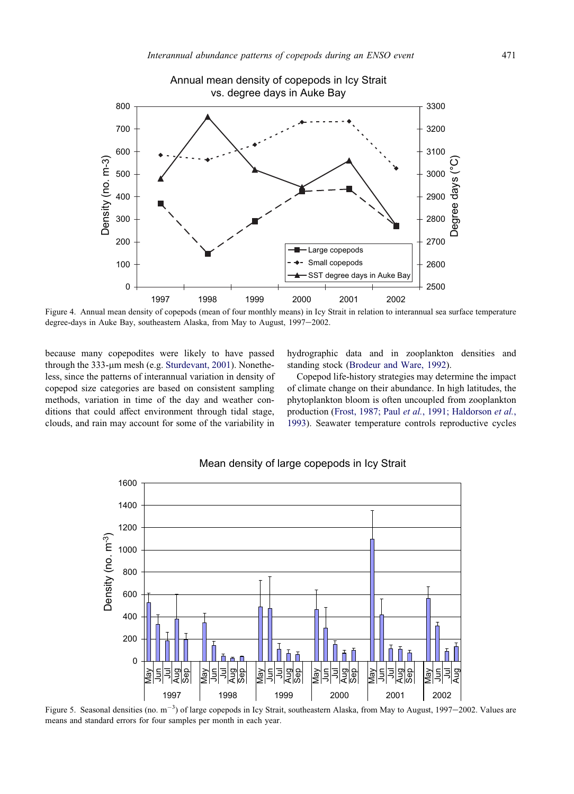<span id="page-7-0"></span>

#### Annual mean density of copepods in Icy Strait vs. degree days in Auke Bay

Figure 4. Annual mean density of copepods (mean of four monthly means) in Icy Strait in relation to interannual sea surface temperature degree-days in Auke Bay, southeastern Alaska, from May to August, 1997-2002.

because many copepodites were likely to have passed through the 333-µm mesh (e.g. [Sturdevant, 2001\)](#page-12-0). Nonetheless, since the patterns of interannual variation in density of copepod size categories are based on consistent sampling methods, variation in time of the day and weather conditions that could affect environment through tidal stage, clouds, and rain may account for some of the variability in

hydrographic data and in zooplankton densities and standing stock [\(Brodeur and Ware, 1992](#page-10-0)).

Copepod life-history strategies may determine the impact of climate change on their abundance. In high latitudes, the phytoplankton bloom is often uncoupled from zooplankton production (Frost, 1987; Paul et al.[, 1991; Haldorson](#page-11-0) et al., [1993\)](#page-11-0). Seawater temperature controls reproductive cycles



#### Mean density of large copepods in Icy Strait

Figure 5. Seasonal densities (no.  $m^{-3}$ ) of large copepods in Icy Strait, southeastern Alaska, from May to August, 1997–2002. Values are means and standard errors for four samples per month in each year.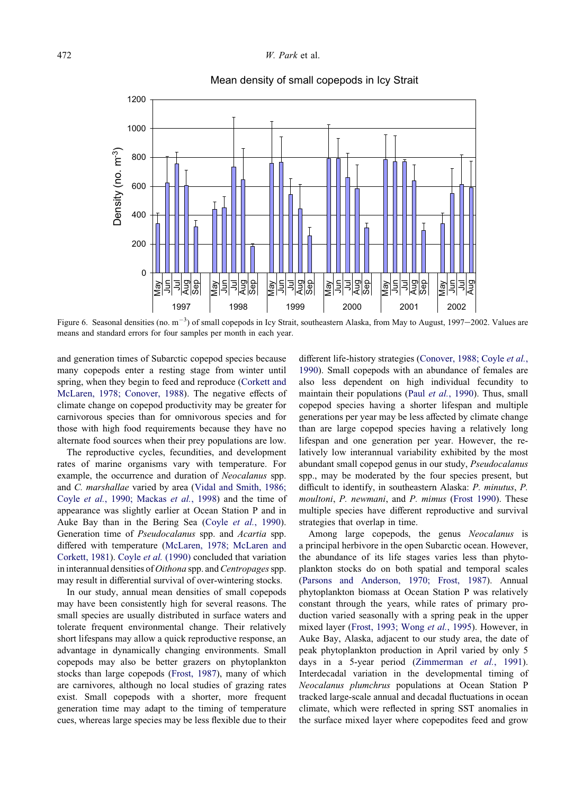



Figure 6. Seasonal densities (no.  $m^{-3}$ ) of small copepods in Icy Strait, southeastern Alaska, from May to August, 1997–2002. Values are means and standard errors for four samples per month in each year.

and generation times of Subarctic copepod species because many copepods enter a resting stage from winter until spring, when they begin to feed and reproduce ([Corkett and](#page-10-0) [McLaren, 1978; Conover, 1988\)](#page-10-0). The negative effects of climate change on copepod productivity may be greater for carnivorous species than for omnivorous species and for those with high food requirements because they have no alternate food sources when their prey populations are low.

The reproductive cycles, fecundities, and development rates of marine organisms vary with temperature. For example, the occurrence and duration of Neocalanus spp. and C. marshallae varied by area ([Vidal and Smith, 1986;](#page-12-0) Coyle et al.[, 1990; Mackas](#page-12-0) et al., 1998) and the time of appearance was slightly earlier at Ocean Station P and in Auke Bay than in the Bering Sea (Coyle et al.[, 1990\)](#page-10-0). Generation time of Pseudocalanus spp. and Acartia spp. differed with temperature [\(McLaren, 1978; McLaren and](#page-11-0) [Corkett, 1981](#page-11-0)). Coyle et al. [\(1990\)](#page-10-0) concluded that variation in interannual densities of Oithona spp. and Centropages spp. may result in differential survival of over-wintering stocks.

In our study, annual mean densities of small copepods may have been consistently high for several reasons. The small species are usually distributed in surface waters and tolerate frequent environmental change. Their relatively short lifespans may allow a quick reproductive response, an advantage in dynamically changing environments. Small copepods may also be better grazers on phytoplankton stocks than large copepods [\(Frost, 1987](#page-11-0)), many of which are carnivores, although no local studies of grazing rates exist. Small copepods with a shorter, more frequent generation time may adapt to the timing of temperature cues, whereas large species may be less flexible due to their different life-history strategies [\(Conover, 1988; Coyle](#page-10-0) et al., [1990\)](#page-10-0). Small copepods with an abundance of females are also less dependent on high individual fecundity to maintain their populations (Paul et al.[, 1990\)](#page-12-0). Thus, small copepod species having a shorter lifespan and multiple generations per year may be less affected by climate change than are large copepod species having a relatively long lifespan and one generation per year. However, the relatively low interannual variability exhibited by the most abundant small copepod genus in our study, Pseudocalanus spp., may be moderated by the four species present, but difficult to identify, in southeastern Alaska: P. minutus, P. moultoni, P. newmani, and P. mimus ([Frost 1990\)](#page-11-0). These multiple species have different reproductive and survival strategies that overlap in time.

Among large copepods, the genus Neocalanus is a principal herbivore in the open Subarctic ocean. However, the abundance of its life stages varies less than phytoplankton stocks do on both spatial and temporal scales ([Parsons and Anderson, 1970; Frost, 1987](#page-11-0)). Annual phytoplankton biomass at Ocean Station P was relatively constant through the years, while rates of primary production varied seasonally with a spring peak in the upper mixed layer ([Frost, 1993; Wong](#page-13-0) et al., 1995). However, in Auke Bay, Alaska, adjacent to our study area, the date of peak phytoplankton production in April varied by only 5 days in a 5-year period [\(Zimmerman](#page-13-0) et al., 1991). Interdecadal variation in the developmental timing of Neocalanus plumchrus populations at Ocean Station P tracked large-scale annual and decadal fluctuations in ocean climate, which were reflected in spring SST anomalies in the surface mixed layer where copepodites feed and grow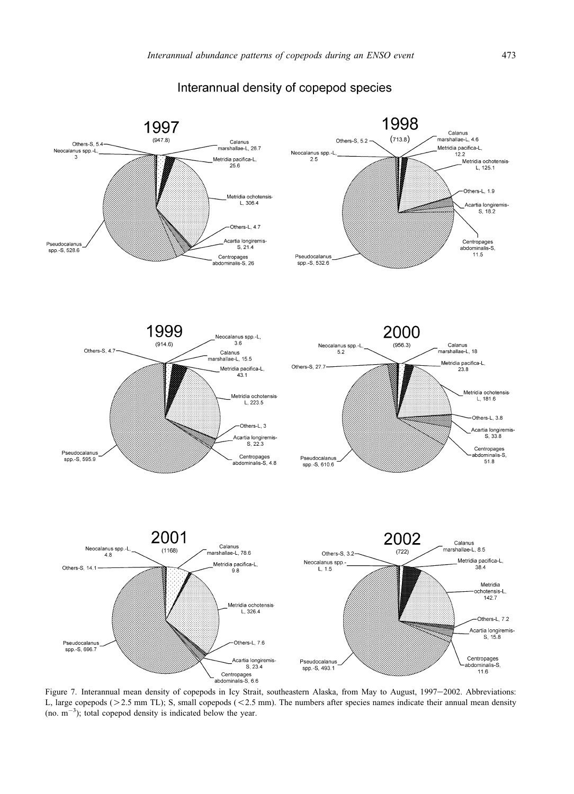<span id="page-9-0"></span>

# Interannual density of copepod species

Figure 7. Interannual mean density of copepods in Icy Strait, southeastern Alaska, from May to August, 1997-2002. Abbreviations: L, large copepods ( $>$  2.5 mm TL); S, small copepods ( $<$  2.5 mm). The numbers after species names indicate their annual mean density (no.  $m^{-3}$ ); total copepod density is indicated below the year.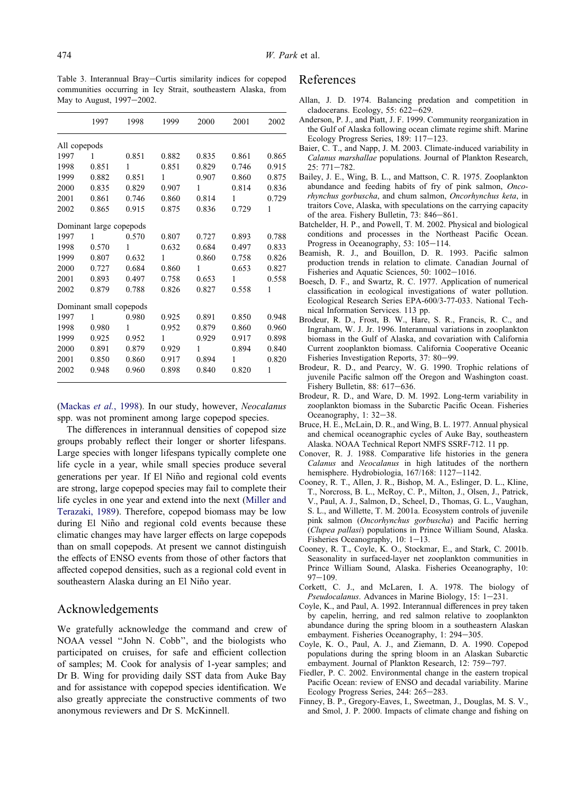<span id="page-10-0"></span>Table 3. Interannual Bray-Curtis similarity indices for copepod communities occurring in Icy Strait, southeastern Alaska, from May to August, 1997-2002.

|              | 1997                    | 1998  | 1999  | 2000  | 2001  | 2002  |
|--------------|-------------------------|-------|-------|-------|-------|-------|
| All copepods |                         |       |       |       |       |       |
| 1997         | 1                       | 0.851 | 0.882 | 0.835 | 0.861 | 0.865 |
| 1998         | 0.851                   | 1     | 0.851 | 0.829 | 0.746 | 0.915 |
| 1999         | 0.882                   | 0.851 | 1     | 0.907 | 0.860 | 0.875 |
| 2000         | 0.835                   | 0.829 | 0.907 | 1     | 0.814 | 0.836 |
| 2001         | 0.861                   | 0.746 | 0.860 | 0.814 | 1     | 0.729 |
| 2002         | 0.865                   | 0.915 | 0.875 | 0.836 | 0.729 | 1     |
|              | Dominant large copepods |       |       |       |       |       |
| 1997         | 1                       | 0.570 | 0.807 | 0.727 | 0.893 | 0.788 |
| 1998         | 0.570                   | 1     | 0.632 | 0.684 | 0.497 | 0.833 |
| 1999         | 0.807                   | 0.632 | 1     | 0.860 | 0.758 | 0.826 |
| 2000         | 0.727                   | 0.684 | 0.860 | 1     | 0.653 | 0.827 |
| 2001         | 0.893                   | 0.497 | 0.758 | 0.653 | 1     | 0.558 |
| 2002         | 0.879                   | 0.788 | 0.826 | 0.827 | 0.558 | 1     |
|              | Dominant small copepods |       |       |       |       |       |
| 1997         | 1                       | 0.980 | 0.925 | 0.891 | 0.850 | 0.948 |
| 1998         | 0.980                   | 1     | 0.952 | 0.879 | 0.860 | 0.960 |
| 1999         | 0.925                   | 0.952 | 1     | 0.929 | 0.917 | 0.898 |
| 2000         | 0.891                   | 0.879 | 0.929 | 1     | 0.894 | 0.840 |
| 2001         | 0.850                   | 0.860 | 0.917 | 0.894 | 1     | 0.820 |
| 2002         | 0.948                   | 0.960 | 0.898 | 0.840 | 0.820 | 1     |
|              |                         |       |       |       |       |       |

([Mackas](#page-11-0) et al., 1998). In our study, however, Neocalanus spp. was not prominent among large copepod species.

The differences in interannual densities of copepod size groups probably reflect their longer or shorter lifespans. Large species with longer lifespans typically complete one life cycle in a year, while small species produce several generations per year. If El Niño and regional cold events are strong, large copepod species may fail to complete their life cycles in one year and extend into the next ([Miller and](#page-11-0) [Terazaki, 1989\)](#page-11-0). Therefore, copepod biomass may be low during El Niño and regional cold events because these climatic changes may have larger effects on large copepods than on small copepods. At present we cannot distinguish the effects of ENSO events from those of other factors that affected copepod densities, such as a regional cold event in southeastern Alaska during an El Niño year.

#### Acknowledgements

We gratefully acknowledge the command and crew of NOAA vessel ''John N. Cobb'', and the biologists who participated on cruises, for safe and efficient collection of samples; M. Cook for analysis of 1-year samples; and Dr B. Wing for providing daily SST data from Auke Bay and for assistance with copepod species identification. We also greatly appreciate the constructive comments of two anonymous reviewers and Dr S. McKinnell.

#### References

- Allan, J. D. 1974. Balancing predation and competition in cladocerans. Ecology,  $55: 622-629$ .
- Anderson, P. J., and Piatt, J. F. 1999. Community reorganization in the Gulf of Alaska following ocean climate regime shift. Marine Ecology Progress Series, 189: 117-123.
- Baier, C. T., and Napp, J. M. 2003. Climate-induced variability in Calanus marshallae populations. Journal of Plankton Research,  $25: 771 - 782.$
- Bailey, J. E., Wing, B. L., and Mattson, C. R. 1975. Zooplankton abundance and feeding habits of fry of pink salmon, Oncorhynchus gorbuscha, and chum salmon, Oncorhynchus keta, in traitors Cove, Alaska, with speculations on the carrying capacity of the area. Fishery Bulletin, 73: 846-861.
- Batchelder, H. P., and Powell, T. M. 2002. Physical and biological conditions and processes in the Northeast Pacific Ocean. Progress in Oceanography, 53: 105-114.
- Beamish, R. J., and Bouillon, D. R. 1993. Pacific salmon production trends in relation to climate. Canadian Journal of Fisheries and Aquatic Sciences, 50: 1002-1016.
- Boesch, D. F., and Swartz, R. C. 1977. Application of numerical classification in ecological investigations of water pollution. Ecological Research Series EPA-600/3-77-033. National Technical Information Services. 113 pp.
- Brodeur, R. D., Frost, B. W., Hare, S. R., Francis, R. C., and Ingraham, W. J. Jr. 1996. Interannual variations in zooplankton biomass in the Gulf of Alaska, and covariation with California Current zooplankton biomass. California Cooperative Oceanic Fisheries Investigation Reports, 37: 80-99.
- Brodeur, R. D., and Pearcy, W. G. 1990. Trophic relations of juvenile Pacific salmon off the Oregon and Washington coast. Fishery Bulletin, 88:  $617-636$ .
- Brodeur, R. D., and Ware, D. M. 1992. Long-term variability in zooplankton biomass in the Subarctic Pacific Ocean. Fisheries Oceanography,  $1: 32-38$ .
- Bruce, H. E., McLain, D. R., and Wing, B. L. 1977. Annual physical and chemical oceanographic cycles of Auke Bay, southeastern Alaska. NOAA Technical Report NMFS SSRF-712. 11 pp.
- Conover, R. J. 1988. Comparative life histories in the genera Calanus and Neocalanus in high latitudes of the northern hemisphere. Hydrobiologia, 167/168: 1127-1142.
- Cooney, R. T., Allen, J. R., Bishop, M. A., Eslinger, D. L., Kline, T., Norcross, B. L., McRoy, C. P., Milton, J., Olsen, J., Patrick, V., Paul, A. J., Salmon, D., Scheel, D., Thomas, G. L., Vaughan, S. L., and Willette, T. M. 2001a. Ecosystem controls of juvenile pink salmon (Oncorhynchus gorbuscha) and Pacific herring (Clupea pallasi) populations in Prince William Sound, Alaska. Fisheries Oceanography,  $10: 1-13$ .
- Cooney, R. T., Coyle, K. O., Stockmar, E., and Stark, C. 2001b. Seasonality in surfaced-layer net zooplankton communities in Prince William Sound, Alaska. Fisheries Oceanography, 10:  $97 - 109.$
- Corkett, C. J., and McLaren, I. A. 1978. The biology of  $Pseudocalanus$ . Advances in Marine Biology, 15: 1-231.
- Coyle, K., and Paul, A. 1992. Interannual differences in prey taken by capelin, herring, and red salmon relative to zooplankton abundance during the spring bloom in a southeastern Alaskan embayment. Fisheries Oceanography, 1: 294-305.
- Coyle, K. O., Paul, A. J., and Ziemann, D. A. 1990. Copepod populations during the spring bloom in an Alaskan Subarctic embayment. Journal of Plankton Research, 12: 759-797.
- Fiedler, P. C. 2002. Environmental change in the eastern tropical Pacific Ocean: review of ENSO and decadal variability. Marine Ecology Progress Series, 244: 265-283.
- Finney, B. P., Gregory-Eaves, I., Sweetman, J., Douglas, M. S. V., and Smol, J. P. 2000. Impacts of climate change and fishing on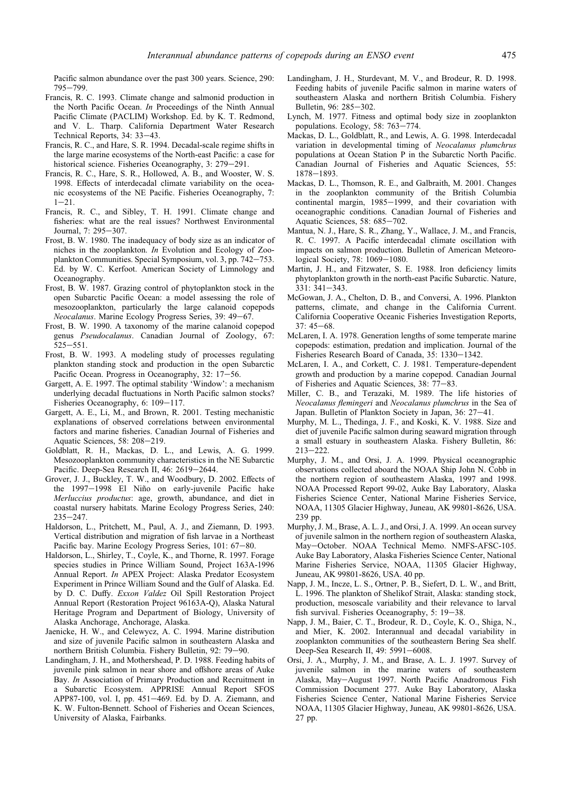<span id="page-11-0"></span>Pacific salmon abundance over the past 300 years. Science, 290: 795e799.

- Francis, R. C. 1993. Climate change and salmonid production in the North Pacific Ocean. In Proceedings of the Ninth Annual Pacific Climate (PACLIM) Workshop. Ed. by K. T. Redmond, and V. L. Tharp. California Department Water Research Technical Reports, 34: 33-43.
- Francis, R. C., and Hare, S. R. 1994. Decadal-scale regime shifts in the large marine ecosystems of the North-east Pacific: a case for historical science. Fisheries Oceanography, 3: 279-291.
- Francis, R. C., Hare, S. R., Hollowed, A. B., and Wooster, W. S. 1998. Effects of interdecadal climate variability on the oceanic ecosystems of the NE Pacific. Fisheries Oceanography, 7:  $1 - 21$
- Francis, R. C., and Sibley, T. H. 1991. Climate change and fisheries: what are the real issues? Northwest Environmental Journal, 7: 295-307.
- Frost, B. W. 1980. The inadequacy of body size as an indicator of niches in the zooplankton. In Evolution and Ecology of Zooplankton Communities. Special Symposium, vol. 3, pp. 742-753. Ed. by W. C. Kerfoot. American Society of Limnology and Oceanography.
- Frost, B. W. 1987. Grazing control of phytoplankton stock in the open Subarctic Pacific Ocean: a model assessing the role of mesozooplankton, particularly the large calanoid copepods Neocalanus. Marine Ecology Progress Series, 39: 49–67.
- Frost, B. W. 1990. A taxonomy of the marine calanoid copepod genus Pseudocalanus. Canadian Journal of Zoology, 67:  $525 - 551$ .
- Frost, B. W. 1993. A modeling study of processes regulating plankton standing stock and production in the open Subarctic Pacific Ocean. Progress in Oceanography, 32: 17-56.
- Gargett, A. E. 1997. The optimal stability 'Window': a mechanism underlying decadal fluctuations in North Pacific salmon stocks? Fisheries Oceanography, 6: 109-117.
- Gargett, A. E., Li, M., and Brown, R. 2001. Testing mechanistic explanations of observed correlations between environmental factors and marine fisheries. Canadian Journal of Fisheries and Aquatic Sciences, 58: 208-219.
- Goldblatt, R. H., Mackas, D. L., and Lewis, A. G. 1999. Mesozooplankton community characteristics in the NE Subarctic Pacific. Deep-Sea Research II, 46: 2619-2644.
- Grover, J. J., Buckley, T. W., and Woodbury, D. 2002. Effects of the 1997-1998 El Niño on early-juvenile Pacific hake Merluccius productus: age, growth, abundance, and diet in coastal nursery habitats. Marine Ecology Progress Series, 240:  $235 - 247.$
- Haldorson, L., Pritchett, M., Paul, A. J., and Ziemann, D. 1993. Vertical distribution and migration of fish larvae in a Northeast Pacific bay. Marine Ecology Progress Series, 101: 67-80.
- Haldorson, L., Shirley, T., Coyle, K., and Thorne, R. 1997. Forage species studies in Prince William Sound, Project 163A-1996 Annual Report. In APEX Project: Alaska Predator Ecosystem Experiment in Prince William Sound and the Gulf of Alaska. Ed. by D. C. Duffy. Exxon Valdez Oil Spill Restoration Project Annual Report (Restoration Project 96163A-Q), Alaska Natural Heritage Program and Department of Biology, University of Alaska Anchorage, Anchorage, Alaska.
- Jaenicke, H. W., and Celewycz, A. C. 1994. Marine distribution and size of juvenile Pacific salmon in southeastern Alaska and northern British Columbia. Fishery Bulletin, 92: 79-90.
- Landingham, J. H., and Mothershead, P. D. 1988. Feeding habits of juvenile pink salmon in near shore and offshore areas of Auke Bay. In Association of Primary Production and Recruitment in a Subarctic Ecosystem. APPRISE Annual Report SFOS APP87-100, vol. I, pp.  $451-469$ . Ed. by D. A. Ziemann, and K. W. Fulton-Bennett. School of Fisheries and Ocean Sciences, University of Alaska, Fairbanks.
- Landingham, J. H., Sturdevant, M. V., and Brodeur, R. D. 1998. Feeding habits of juvenile Pacific salmon in marine waters of southeastern Alaska and northern British Columbia. Fishery Bulletin, 96: 285-302.
- Lynch, M. 1977. Fitness and optimal body size in zooplankton populations. Ecology, 58: 763-774.
- Mackas, D. L., Goldblatt, R., and Lewis, A. G. 1998. Interdecadal variation in developmental timing of Neocalanus plumchrus populations at Ocean Station P in the Subarctic North Pacific. Canadian Journal of Fisheries and Aquatic Sciences, 55: 1878-1893.
- Mackas, D. L., Thomson, R. E., and Galbraith, M. 2001. Changes in the zooplankton community of the British Columbia continental margin, 1985-1999, and their covariation with oceanographic conditions. Canadian Journal of Fisheries and Aquatic Sciences, 58: 685-702.
- Mantua, N. J., Hare, S. R., Zhang, Y., Wallace, J. M., and Francis, R. C. 1997. A Pacific interdecadal climate oscillation with impacts on salmon production. Bulletin of American Meteorological Society, 78: 1069-1080.
- Martin, J. H., and Fitzwater, S. E. 1988. Iron deficiency limits phytoplankton growth in the north-east Pacific Subarctic. Nature, 331: 341-343.
- McGowan, J. A., Chelton, D. B., and Conversi, A. 1996. Plankton patterns, climate, and change in the California Current. California Cooperative Oceanic Fisheries Investigation Reports,  $37:45-68.$
- McLaren, I. A. 1978. Generation lengths of some temperate marine copepods: estimation, predation and implication. Journal of the Fisheries Research Board of Canada, 35: 1330-1342.
- McLaren, I. A., and Corkett, C. J. 1981. Temperature-dependent growth and production by a marine copepod. Canadian Journal of Fisheries and Aquatic Sciences,  $38: 77-83$ .
- Miller, C. B., and Terazaki, M. 1989. The life histories of Neocalanus flemingeri and Neocalanus plumchrus in the Sea of Japan. Bulletin of Plankton Society in Japan, 36: 27-41.
- Murphy, M. L., Thedinga, J. F., and Koski, K. V. 1988. Size and diet of juvenile Pacific salmon during seaward migration through a small estuary in southeastern Alaska. Fishery Bulletin, 86:  $213 - 222$ .
- Murphy, J. M., and Orsi, J. A. 1999. Physical oceanographic observations collected aboard the NOAA Ship John N. Cobb in the northern region of southeastern Alaska, 1997 and 1998. NOAA Processed Report 99-02, Auke Bay Laboratory, Alaska Fisheries Science Center, National Marine Fisheries Service, NOAA, 11305 Glacier Highway, Juneau, AK 99801-8626, USA. 239 pp.
- Murphy, J. M., Brase, A. L. J., and Orsi, J. A. 1999. An ocean survey of juvenile salmon in the northern region of southeastern Alaska, May-October. NOAA Technical Memo. NMFS-AFSC-105. Auke Bay Laboratory, Alaska Fisheries Science Center, National Marine Fisheries Service, NOAA, 11305 Glacier Highway, Juneau, AK 99801-8626, USA. 40 pp.
- Napp, J. M., Incze, L. S., Ortner, P. B., Siefert, D. L. W., and Britt, L. 1996. The plankton of Shelikof Strait, Alaska: standing stock, production, mesoscale variability and their relevance to larval fish survival. Fisheries Oceanography, 5: 19-38.
- Napp, J. M., Baier, C. T., Brodeur, R. D., Coyle, K. O., Shiga, N., and Mier, K. 2002. Interannual and decadal variability in zooplankton communities of the southeastern Bering Sea shelf. Deep-Sea Research II, 49: 5991-6008.
- Orsi, J. A., Murphy, J. M., and Brase, A. L. J. 1997. Survey of juvenile salmon in the marine waters of southeastern Alaska, May-August 1997. North Pacific Anadromous Fish Commission Document 277. Auke Bay Laboratory, Alaska Fisheries Science Center, National Marine Fisheries Service NOAA, 11305 Glacier Highway, Juneau, AK 99801-8626, USA. 27 pp.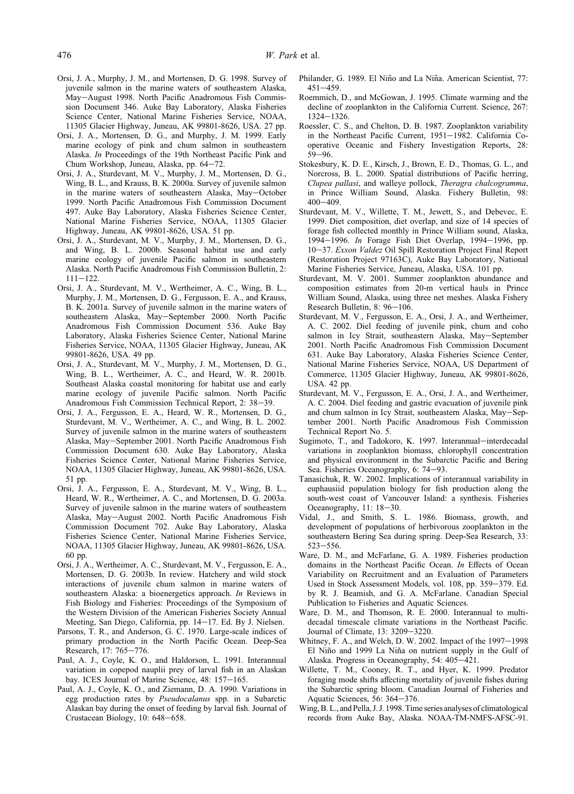- <span id="page-12-0"></span>Orsi, J. A., Murphy, J. M., and Mortensen, D. G. 1998. Survey of juvenile salmon in the marine waters of southeastern Alaska, May-August 1998. North Pacific Anadromous Fish Commission Document 346. Auke Bay Laboratory, Alaska Fisheries Science Center, National Marine Fisheries Service, NOAA, 11305 Glacier Highway, Juneau, AK 99801-8626, USA. 27 pp.
- Orsi, J. A., Mortensen, D. G., and Murphy, J. M. 1999. Early marine ecology of pink and chum salmon in southeastern Alaska. In Proceedings of the 19th Northeast Pacific Pink and Chum Workshop, Juneau, Alaska, pp.  $64-72$ .
- Orsi, J. A., Sturdevant, M. V., Murphy, J. M., Mortensen, D. G., Wing, B. L., and Krauss, B. K. 2000a. Survey of juvenile salmon in the marine waters of southeastern Alaska, May-October 1999. North Pacific Anadromous Fish Commission Document 497. Auke Bay Laboratory, Alaska Fisheries Science Center, National Marine Fisheries Service, NOAA, 11305 Glacier Highway, Juneau, AK 99801-8626, USA. 51 pp.
- Orsi, J. A., Sturdevant, M. V., Murphy, J. M., Mortensen, D. G., and Wing, B. L. 2000b. Seasonal habitat use and early marine ecology of juvenile Pacific salmon in southeastern Alaska. North Pacific Anadromous Fish Commission Bulletin, 2:  $111 - 122$ .
- Orsi, J. A., Sturdevant, M. V., Wertheimer, A. C., Wing, B. L., Murphy, J. M., Mortensen, D. G., Fergusson, E. A., and Krauss, B. K. 2001a. Survey of juvenile salmon in the marine waters of southeastern Alaska, May-September 2000. North Pacific Anadromous Fish Commission Document 536. Auke Bay Laboratory, Alaska Fisheries Science Center, National Marine Fisheries Service, NOAA, 11305 Glacier Highway, Juneau, AK 99801-8626, USA. 49 pp.
- Orsi, J. A., Sturdevant, M. V., Murphy, J. M., Mortensen, D. G., Wing, B. L., Wertheimer, A. C., and Heard, W. R. 2001b. Southeast Alaska coastal monitoring for habitat use and early marine ecology of juvenile Pacific salmon. North Pacific Anadromous Fish Commission Technical Report, 2: 38-39.
- Orsi, J. A., Fergusson, E. A., Heard, W. R., Mortensen, D. G., Sturdevant, M. V., Wertheimer, A. C., and Wing, B. L. 2002. Survey of juvenile salmon in the marine waters of southeastern Alaska, May-September 2001. North Pacific Anadromous Fish Commission Document 630. Auke Bay Laboratory, Alaska Fisheries Science Center, National Marine Fisheries Service, NOAA, 11305 Glacier Highway, Juneau, AK 99801-8626, USA. 51 pp.
- Orsi, J. A., Fergusson, E. A., Sturdevant, M. V., Wing, B. L., Heard, W. R., Wertheimer, A. C., and Mortensen, D. G. 2003a. Survey of juvenile salmon in the marine waters of southeastern Alaska, May-August 2002. North Pacific Anadromous Fish Commission Document 702. Auke Bay Laboratory, Alaska Fisheries Science Center, National Marine Fisheries Service, NOAA, 11305 Glacier Highway, Juneau, AK 99801-8626, USA. 60 pp.
- Orsi, J. A., Wertheimer, A. C., Sturdevant, M. V., Fergusson, E. A., Mortensen, D. G. 2003b. In review. Hatchery and wild stock interactions of juvenile chum salmon in marine waters of southeastern Alaska: a bioenergetics approach. In Reviews in Fish Biology and Fisheries: Proceedings of the Symposium of the Western Division of the American Fisheries Society Annual Meeting, San Diego, California, pp. 14-17. Ed. By J. Nielsen.
- Parsons, T. R., and Anderson, G. C. 1970. Large-scale indices of primary production in the North Pacific Ocean. Deep-Sea Research, 17: 765-776.
- Paul, A. J., Coyle, K. O., and Haldorson, L. 1991. Interannual variation in copepod nauplii prey of larval fish in an Alaskan bay. ICES Journal of Marine Science, 48: 157-165.
- Paul, A. J., Coyle, K. O., and Ziemann, D. A. 1990. Variations in egg production rates by Pseudocalanus spp. in a Subarctic Alaskan bay during the onset of feeding by larval fish. Journal of Crustacean Biology, 10: 648-658.
- Philander, G. 1989. El Niño and La Niña. American Scientist, 77:  $451 - 459$
- Roemmich, D., and McGowan, J. 1995. Climate warming and the decline of zooplankton in the California Current. Science, 267:  $1324 - 1326$ .
- Roessler, C. S., and Chelton, D. B. 1987. Zooplankton variability in the Northeast Pacific Current, 1951-1982. California Cooperative Oceanic and Fishery Investigation Reports, 28:  $59 - 96$
- Stokesbury, K. D. E., Kirsch, J., Brown, E. D., Thomas, G. L., and Norcross, B. L. 2000. Spatial distributions of Pacific herring, Clupea pallasi, and walleye pollock, Theragra chalcogramma, in Prince William Sound, Alaska. Fishery Bulletin, 98:  $400 - 409$
- Sturdevant, M. V., Willette, T. M., Jewett, S., and Debevec, E. 1999. Diet composition, diet overlap, and size of 14 species of forage fish collected monthly in Prince William sound, Alaska, 1994 $-1996$ . In Forage Fish Diet Overlap, 1994 $-1996$ , pp. 10-37. Exxon Valdez Oil Spill Restoration Project Final Report (Restoration Project 97163C), Auke Bay Laboratory, National Marine Fisheries Service, Juneau, Alaska, USA. 101 pp.
- Sturdevant, M. V. 2001. Summer zooplankton abundance and composition estimates from 20-m vertical hauls in Prince William Sound, Alaska, using three net meshes. Alaska Fishery Research Bulletin, 8: 96-106.
- Sturdevant, M. V., Fergusson, E. A., Orsi, J. A., and Wertheimer, A. C. 2002. Diel feeding of juvenile pink, chum and coho salmon in Icy Strait, southeastern Alaska, May-September 2001. North Pacific Anadromous Fish Commission Document 631. Auke Bay Laboratory, Alaska Fisheries Science Center, National Marine Fisheries Service, NOAA, US Department of Commerce, 11305 Glacier Highway, Juneau, AK 99801-8626, USA. 42 pp.
- Sturdevant, M. V., Fergusson, E. A., Orsi, J. A., and Wertheimer, A. C. 2004. Diel feeding and gastric evacuation of juvenile pink and chum salmon in Icy Strait, southeastern Alaska, May-September 2001. North Pacific Anadromous Fish Commission Technical Report No. 5.
- Sugimoto, T., and Tadokoro, K. 1997. Interannual-interdecadal variations in zooplankton biomass, chlorophyll concentration and physical environment in the Subarctic Pacific and Bering Sea. Fisheries Oceanography, 6: 74-93.
- Tanasichuk, R. W. 2002. Implications of interannual variability in euphausiid population biology for fish production along the south-west coast of Vancouver Island: a synthesis. Fisheries Oceanography,  $11: 18-30$ .
- Vidal, J., and Smith, S. L. 1986. Biomass, growth, and development of populations of herbivorous zooplankton in the southeastern Bering Sea during spring. Deep-Sea Research, 33:  $523 - 556$ .
- Ware, D. M., and McFarlane, G. A. 1989. Fisheries production domains in the Northeast Pacific Ocean. In Effects of Ocean Variability on Recruitment and an Evaluation of Parameters Used in Stock Assessment Models, vol. 108, pp. 359-379. Ed. by R. J. Beamish, and G. A. McFarlane. Canadian Special Publication to Fisheries and Aquatic Sciences.
- Ware, D. M., and Thomson, R. E. 2000. Interannual to multidecadal timescale climate variations in the Northeast Pacific. Journal of Climate, 13: 3209-3220.
- Whitney, F. A., and Welch, D. W. 2002. Impact of the 1997-1998 El Niño and 1999 La Niña on nutrient supply in the Gulf of Alaska. Progress in Oceanography, 54: 405-421.
- Willette, T. M., Cooney, R. T., and Hyer, K. 1999. Predator foraging mode shifts affecting mortality of juvenile fishes during the Subarctic spring bloom. Canadian Journal of Fisheries and Aquatic Sciences, 56: 364-376.
- Wing, B. L., and Pella, J. J. 1998. Time series analyses of climatological records from Auke Bay, Alaska. NOAA-TM-NMFS-AFSC-91.